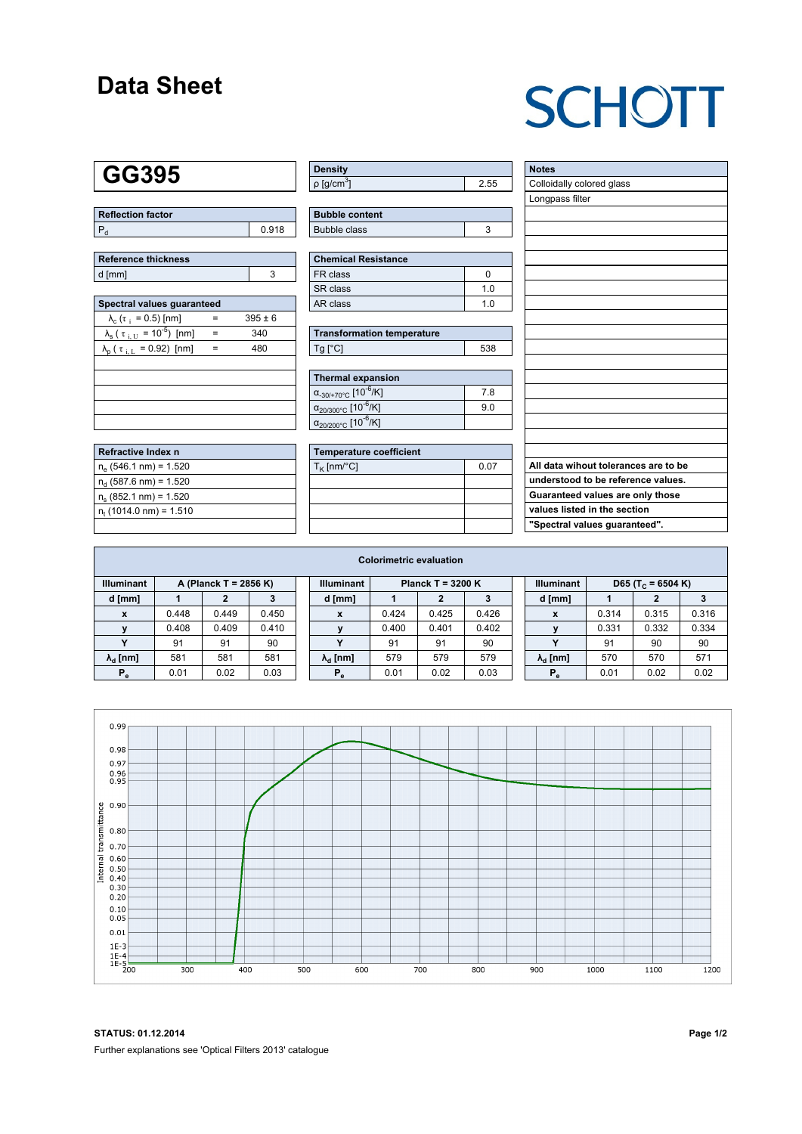### **Data Sheet**

# **SCHOTT**

### **GG395**

| Reflection factor |       |  |  |  |  |  |
|-------------------|-------|--|--|--|--|--|
|                   | 0.918 |  |  |  |  |  |

| Reference thickness |  |  |  |  |  |  |  |
|---------------------|--|--|--|--|--|--|--|
| d [mm]              |  |  |  |  |  |  |  |

| Spectral values quaranteed                                     |     |             |  |  |  |  |  |  |  |
|----------------------------------------------------------------|-----|-------------|--|--|--|--|--|--|--|
| $\lambda_c$ ( $\tau_i$ = 0.5) [nm]                             |     | $395 \pm 6$ |  |  |  |  |  |  |  |
| $\lambda_{\rm s}$ ( $\tau_{\rm i,U}$ = 10 <sup>-5</sup> ) [nm] | $=$ | 340         |  |  |  |  |  |  |  |
| $\lambda_{\rm p}$ ( $\tau_{\rm i, L}$ = 0.92) [nm]             |     | 480         |  |  |  |  |  |  |  |
|                                                                |     |             |  |  |  |  |  |  |  |
|                                                                |     |             |  |  |  |  |  |  |  |
|                                                                |     |             |  |  |  |  |  |  |  |
|                                                                |     |             |  |  |  |  |  |  |  |
|                                                                |     |             |  |  |  |  |  |  |  |

| Refractive Index n        |  |
|---------------------------|--|
| $n_e$ (546.1 nm) = 1.520  |  |
| $n_d$ (587.6 nm) = 1.520  |  |
| $n_e$ (852.1 nm) = 1.520  |  |
| $n_t$ (1014.0 nm) = 1.510 |  |
|                           |  |

| <b>Density</b>              |      |
|-----------------------------|------|
| $\rho$ [g/cm <sup>3</sup> ] | 2.55 |

| <b>Bubble content</b> |  |
|-----------------------|--|
| <b>Bubble class</b>   |  |

| Chemical Resistance |     |  |  |  |  |  |
|---------------------|-----|--|--|--|--|--|
| l FR class          |     |  |  |  |  |  |
| l SR class          | 1 በ |  |  |  |  |  |
| l AR class          | 1 በ |  |  |  |  |  |

| <b>Transformation temperature</b> |     |  |  |  |  |  |
|-----------------------------------|-----|--|--|--|--|--|
| $Tg$ [ $^{\circ}$ C]              | 538 |  |  |  |  |  |

| Thermal expansion                                 |     |  |  |  |  |  |  |
|---------------------------------------------------|-----|--|--|--|--|--|--|
| $\alpha_{-30/+70\degree}$ c [10 <sup>-6</sup> /K] | 7.8 |  |  |  |  |  |  |
| $\alpha_{20/300^{\circ}C}$ [10 <sup>-6</sup> /K]  | 9.0 |  |  |  |  |  |  |
| $\alpha_{20/200^{\circ}C}$ [10 <sup>-6</sup> /K]  |     |  |  |  |  |  |  |

| Temperature coefficient     |  |  |  |  |  |  |  |
|-----------------------------|--|--|--|--|--|--|--|
| $T_{\rm K}$ [nm/°C]<br>0.07 |  |  |  |  |  |  |  |
|                             |  |  |  |  |  |  |  |
|                             |  |  |  |  |  |  |  |
|                             |  |  |  |  |  |  |  |
|                             |  |  |  |  |  |  |  |

| <b>Notes</b>                         |
|--------------------------------------|
| Colloidally colored glass            |
| Longpass filter                      |
|                                      |
|                                      |
|                                      |
|                                      |
|                                      |
|                                      |
|                                      |
|                                      |
|                                      |
|                                      |
|                                      |
|                                      |
|                                      |
|                                      |
|                                      |
|                                      |
|                                      |
| All data wihout tolerances are to be |
| understood to be reference values.   |
| Guaranteed values are only those     |
| values listed in the section         |
| "Spectral values guaranteed".        |

| <b>Colorimetric evaluation</b>             |       |       |       |                                          |                        |       |       |       |                   |                        |                               |       |       |
|--------------------------------------------|-------|-------|-------|------------------------------------------|------------------------|-------|-------|-------|-------------------|------------------------|-------------------------------|-------|-------|
| <b>Illuminant</b><br>A (Planck T = 2856 K) |       |       |       | <b>Illuminant</b><br>Planck T = $3200 K$ |                        |       |       |       | <b>Illuminant</b> |                        | D65 (T <sub>c</sub> = 6504 K) |       |       |
| d [mm]                                     |       |       |       |                                          | d [mm]                 |       |       | 3     |                   | d [mm]                 |                               | 2     |       |
| X                                          | 0.448 | 0.449 | 0.450 |                                          | X                      | 0.424 | 0.425 | 0.426 |                   | X                      | 0.314                         | 0.315 | 0.316 |
|                                            | 0.408 | 0.409 | 0.410 |                                          |                        | 0.400 | 0.401 | 0.402 |                   |                        | 0.331                         | 0.332 | 0.334 |
|                                            | 91    | 91    | 90    |                                          | $\checkmark$           | 91    | 91    | 90    |                   | $\checkmark$           | 91                            | 90    | 90    |
| $\lambda_{\rm d}$ [nm]                     | 581   | 581   | 581   |                                          | $\lambda_{\rm d}$ [nm] | 579   | 579   | 579   |                   | $\lambda_{\rm d}$ [nm] | 570                           | 570   | 571   |
| $P_e$                                      | 0.01  | 0.02  | 0.03  |                                          | $P_e$                  | 0.01  | 0.02  | 0.03  |                   | $P_e$                  | 0.01                          | 0.02  | 0.02  |